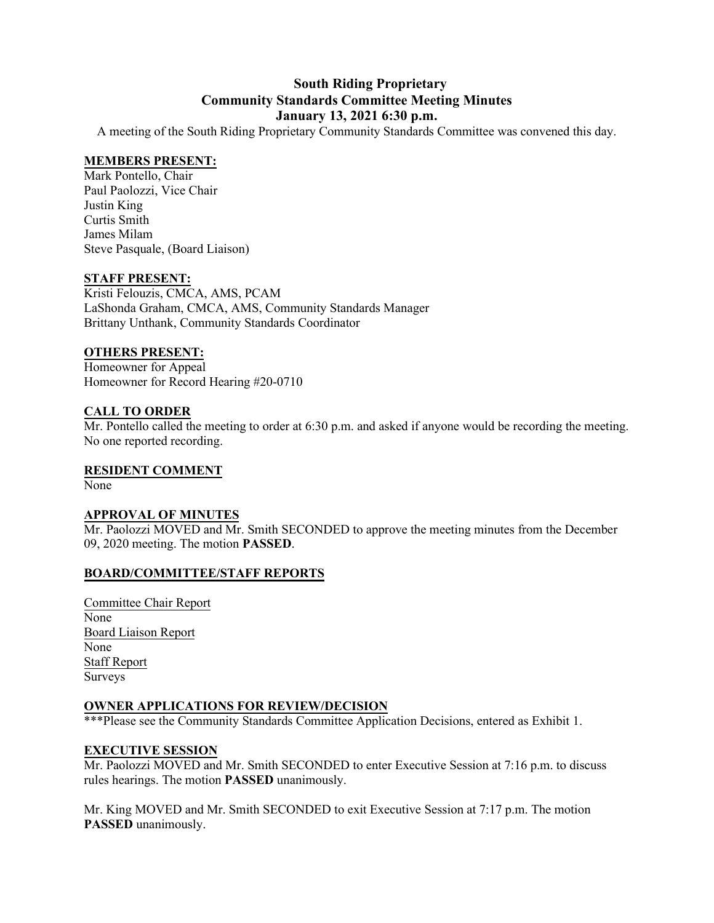# **South Riding Proprietary Community Standards Committee Meeting Minutes January 13, 2021 6:30 p.m.**

A meeting of the South Riding Proprietary Community Standards Committee was convened this day.

# **MEMBERS PRESENT:**

Mark Pontello, Chair Paul Paolozzi, Vice Chair Justin King Curtis Smith James Milam Steve Pasquale, (Board Liaison)

# **STAFF PRESENT:**

Kristi Felouzis, CMCA, AMS, PCAM LaShonda Graham, CMCA, AMS, Community Standards Manager Brittany Unthank, Community Standards Coordinator

# **OTHERS PRESENT:**

Homeowner for Appeal Homeowner for Record Hearing #20-0710

### **CALL TO ORDER**

Mr. Pontello called the meeting to order at 6:30 p.m. and asked if anyone would be recording the meeting. No one reported recording.

#### **RESIDENT COMMENT**

None

#### **APPROVAL OF MINUTES**

Mr. Paolozzi MOVED and Mr. Smith SECONDED to approve the meeting minutes from the December 09, 2020 meeting. The motion **PASSED**.

# **BOARD/COMMITTEE/STAFF REPORTS**

Committee Chair Report None Board Liaison Report None Staff Report Surveys

# **OWNER APPLICATIONS FOR REVIEW/DECISION**

\*\*\*Please see the Community Standards Committee Application Decisions, entered as Exhibit 1.

# **EXECUTIVE SESSION**

Mr. Paolozzi MOVED and Mr. Smith SECONDED to enter Executive Session at 7:16 p.m. to discuss rules hearings. The motion **PASSED** unanimously.

Mr. King MOVED and Mr. Smith SECONDED to exit Executive Session at 7:17 p.m. The motion **PASSED** unanimously.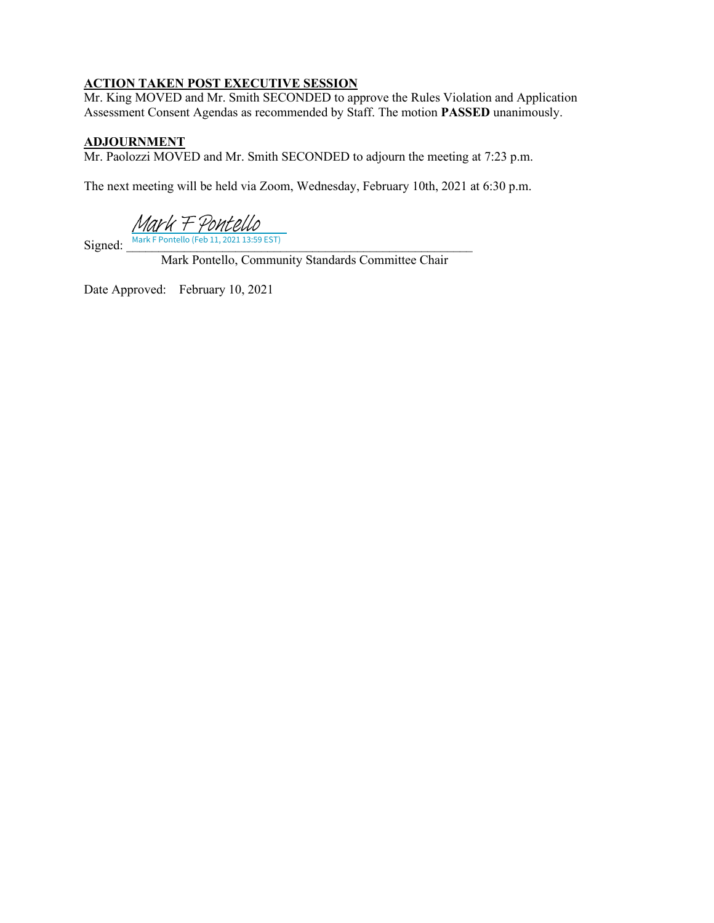# **ACTION TAKEN POST EXECUTIVE SESSION**

Mr. King MOVED and Mr. Smith SECONDED to approve the Rules Violation and Application Assessment Consent Agendas as recommended by Staff. The motion **PASSED** unanimously.

# **ADJOURNMENT**

Mr. Paolozzi MOVED and Mr. Smith SECONDED to adjourn the meeting at 7:23 p.m.

The next meeting will be held via Zoom, Wednesday, February 10th, 2021 at 6:30 p.m.

[Mark F Pontello](https://na2.documents.adobe.com/verifier?tx=CBJCHBCAABAA2WWOZlTvclohmVbTyh0-QLoztzvlmyQ6)

 $Signed:$  Mark F Pontello (Feb 11, 2021 13:59 EST)

Mark Pontello, Community Standards Committee Chair

Date Approved: February 10, 2021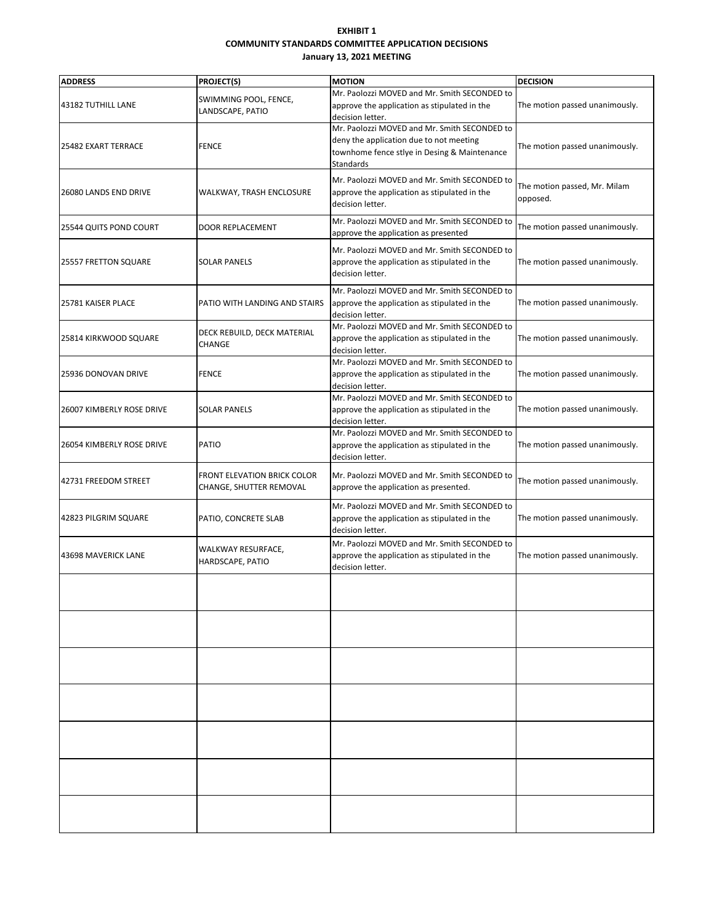#### **EXHIBIT 1 COMMUNITY STANDARDS COMMITTEE APPLICATION DECISIONS January 13, 2021 MEETING**

| <b>ADDRESS</b>             | PROJECT(S)                                             | <b>MOTION</b>                                                                                                                                        | <b>DECISION</b>                          |
|----------------------------|--------------------------------------------------------|------------------------------------------------------------------------------------------------------------------------------------------------------|------------------------------------------|
| 43182 TUTHILL LANE         | SWIMMING POOL, FENCE,<br>LANDSCAPE, PATIO              | Mr. Paolozzi MOVED and Mr. Smith SECONDED to<br>approve the application as stipulated in the<br>decision letter.                                     | The motion passed unanimously.           |
| 25482 EXART TERRACE        | <b>FENCE</b>                                           | Mr. Paolozzi MOVED and Mr. Smith SECONDED to<br>deny the application due to not meeting<br>townhome fence stlye in Desing & Maintenance<br>Standards | The motion passed unanimously.           |
| 26080 LANDS END DRIVE      | WALKWAY, TRASH ENCLOSURE                               | Mr. Paolozzi MOVED and Mr. Smith SECONDED to<br>approve the application as stipulated in the<br>decision letter.                                     | The motion passed, Mr. Milam<br>opposed. |
| 25544 QUITS POND COURT     | <b>DOOR REPLACEMENT</b>                                | Mr. Paolozzi MOVED and Mr. Smith SECONDED to<br>approve the application as presented                                                                 | The motion passed unanimously.           |
| 25557 FRETTON SQUARE       | <b>SOLAR PANELS</b>                                    | Mr. Paolozzi MOVED and Mr. Smith SECONDED to<br>approve the application as stipulated in the<br>decision letter.                                     | The motion passed unanimously.           |
| 25781 KAISER PLACE         | PATIO WITH LANDING AND STAIRS                          | Mr. Paolozzi MOVED and Mr. Smith SECONDED to<br>approve the application as stipulated in the<br>decision letter.                                     | The motion passed unanimously.           |
| 25814 KIRKWOOD SQUARE      | DECK REBUILD, DECK MATERIAL<br><b>CHANGE</b>           | Mr. Paolozzi MOVED and Mr. Smith SECONDED to<br>approve the application as stipulated in the<br>decision letter.                                     | The motion passed unanimously.           |
| 25936 DONOVAN DRIVE        | FENCE                                                  | Mr. Paolozzi MOVED and Mr. Smith SECONDED to<br>approve the application as stipulated in the<br>decision letter.                                     | The motion passed unanimously.           |
| 26007 KIMBERLY ROSE DRIVE  | <b>SOLAR PANELS</b>                                    | Mr. Paolozzi MOVED and Mr. Smith SECONDED to<br>approve the application as stipulated in the<br>decision letter.                                     | The motion passed unanimously.           |
| 26054 KIMBERLY ROSE DRIVE  | <b>PATIO</b>                                           | Mr. Paolozzi MOVED and Mr. Smith SECONDED to<br>approve the application as stipulated in the<br>decision letter.                                     | The motion passed unanimously.           |
| 42731 FREEDOM STREET       | FRONT ELEVATION BRICK COLOR<br>CHANGE, SHUTTER REMOVAL | Mr. Paolozzi MOVED and Mr. Smith SECONDED to<br>approve the application as presented.                                                                | The motion passed unanimously.           |
| 42823 PILGRIM SQUARE       | PATIO, CONCRETE SLAB                                   | Mr. Paolozzi MOVED and Mr. Smith SECONDED to<br>approve the application as stipulated in the<br>decision letter.                                     | The motion passed unanimously.           |
| <b>43698 MAVERICK LANE</b> | WALKWAY RESURFACE,<br>HARDSCAPE, PATIO                 | Mr. Paolozzi MOVED and Mr. Smith SECONDED to<br>approve the application as stipulated in the<br>decision letter.                                     | The motion passed unanimously.           |
|                            |                                                        |                                                                                                                                                      |                                          |
|                            |                                                        |                                                                                                                                                      |                                          |
|                            |                                                        |                                                                                                                                                      |                                          |
|                            |                                                        |                                                                                                                                                      |                                          |
|                            |                                                        |                                                                                                                                                      |                                          |
|                            |                                                        |                                                                                                                                                      |                                          |
|                            |                                                        |                                                                                                                                                      |                                          |